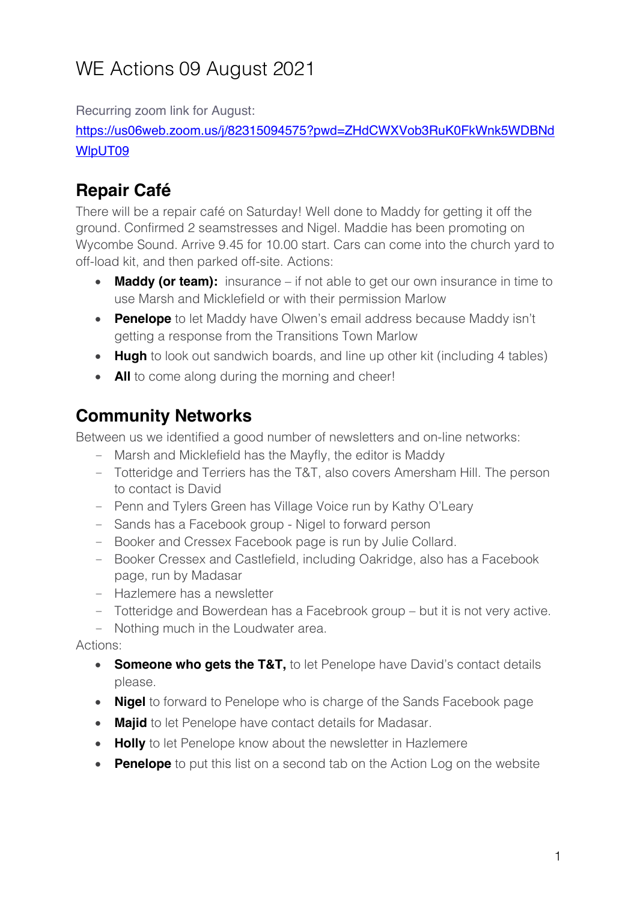# WE Actions 09 August 2021

Recurring zoom link for August:

https://us06web.zoom.us/j/82315094575?pwd=ZHdCWXVob3RuK0FkWnk5WDBNd WlpUT09

# **Repair Café**

There will be a repair café on Saturday! Well done to Maddy for getting it off the ground. Confirmed 2 seamstresses and Nigel. Maddie has been promoting on Wycombe Sound. Arrive 9.45 for 10.00 start. Cars can come into the church yard to off-load kit, and then parked off-site. Actions:

- **Maddy (or team):** insurance if not able to get our own insurance in time to use Marsh and Micklefield or with their permission Marlow
- **Penelope** to let Maddy have Olwen's email address because Maddy isn't getting a response from the Transitions Town Marlow
- **Hugh** to look out sandwich boards, and line up other kit (including 4 tables)
- **All** to come along during the morning and cheer!

### **Community Networks**

Between us we identified a good number of newsletters and on-line networks:

- Marsh and Micklefield has the Mayfly, the editor is Maddy
- Totteridge and Terriers has the T&T, also covers Amersham Hill. The person to contact is David
- Penn and Tylers Green has Village Voice run by Kathy O'Leary
- Sands has a Facebook group Nigel to forward person
- Booker and Cressex Facebook page is run by Julie Collard.
- Booker Cressex and Castlefield, including Oakridge, also has a Facebook page, run by Madasar
- Hazlemere has a newsletter
- Totteridge and Bowerdean has a Facebrook group but it is not very active.
- Nothing much in the Loudwater area.

Actions:

- **Someone who gets the T&T,** to let Penelope have David's contact details please.
- **Nigel** to forward to Penelope who is charge of the Sands Facebook page
- **Majid** to let Penelope have contact details for Madasar.
- **Holly** to let Penelope know about the newsletter in Hazlemere
- **Penelope** to put this list on a second tab on the Action Log on the website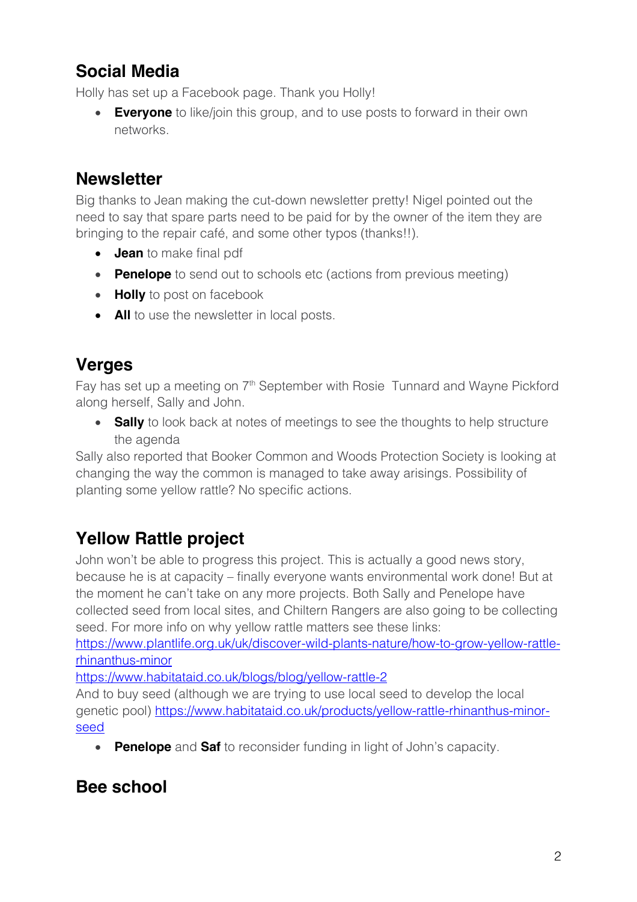# **Social Media**

Holly has set up a Facebook page. Thank you Holly!

• **Everyone** to like/join this group, and to use posts to forward in their own networks.

### **Newsletter**

Big thanks to Jean making the cut-down newsletter pretty! Nigel pointed out the need to say that spare parts need to be paid for by the owner of the item they are bringing to the repair café, and some other typos (thanks!!).

- **Jean** to make final pdf
- **Penelope** to send out to schools etc (actions from previous meeting)
- **Holly** to post on facebook
- **All** to use the newsletter in local posts.

#### **Verges**

Fay has set up a meeting on 7<sup>th</sup> September with Rosie Tunnard and Wayne Pickford along herself, Sally and John.

• **Sally** to look back at notes of meetings to see the thoughts to help structure the agenda

Sally also reported that Booker Common and Woods Protection Society is looking at changing the way the common is managed to take away arisings. Possibility of planting some yellow rattle? No specific actions.

# **Yellow Rattle project**

John won't be able to progress this project. This is actually a good news story, because he is at capacity – finally everyone wants environmental work done! But at the moment he can't take on any more projects. Both Sally and Penelope have collected seed from local sites, and Chiltern Rangers are also going to be collecting seed. For more info on why yellow rattle matters see these links:

https://www.plantlife.org.uk/uk/discover-wild-plants-nature/how-to-grow-yellow-rattlerhinanthus-minor

https://www.habitataid.co.uk/blogs/blog/yellow-rattle-2

And to buy seed (although we are trying to use local seed to develop the local genetic pool) https://www.habitataid.co.uk/products/yellow-rattle-rhinanthus-minorseed

• **Penelope** and **Saf** to reconsider funding in light of John's capacity.

#### **Bee school**